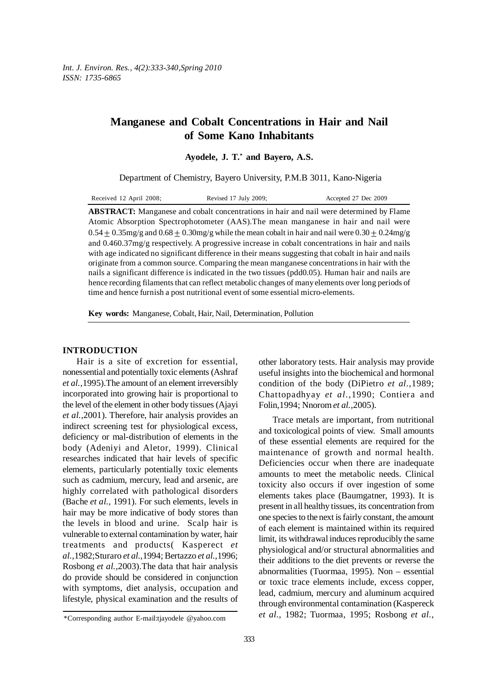# **Manganese and Cobalt Concentrations in Hair and Nail of Some Kano Inhabitants**

**Ayodele, J. T.\* and Bayero, A.S.**

Department of Chemistry, Bayero University, P.M.B 3011, Kano-Nigeria

| Received 12 April 2008; | Revised 17 July 2009; | Accepted 27 Dec 2009 |
|-------------------------|-----------------------|----------------------|
|-------------------------|-----------------------|----------------------|

**ABSTRACT:** Manganese and cobalt concentrations in hair and nail were determined by Flame Atomic Absorption Spectrophotometer (AAS).The mean manganese in hair and nail were  $0.54 + 0.35$ mg/g and  $0.68 + 0.30$ mg/g while the mean cobalt in hair and nail were  $0.30 + 0.24$ mg/g and 0.460.37mg/g respectively. A progressive increase in cobalt concentrations in hair and nails with age indicated no significant difference in their means suggesting that cobalt in hair and nails originate from a common source. Comparing the mean manganese concentrations in hair with the nails a significant difference is indicated in the two tissues (pdd0.05). Human hair and nails are hence recording filaments that can reflect metabolic changes of many elements over long periods of time and hence furnish a post nutritional event of some essential micro-elements.

**Key words:** Manganese, Cobalt, Hair, Nail, Determination, Pollution

### **INTRODUCTION**

Hair is a site of excretion for essential, nonessential and potentially toxic elements (Ashraf *et al.,*1995).The amount of an element irreversibly incorporated into growing hair is proportional to the level of the element in other body tissues (Ajayi *et al.,*2001). Therefore, hair analysis provides an indirect screening test for physiological excess, deficiency or mal-distribution of elements in the body (Adeniyi and Aletor, 1999). Clinical researches indicated that hair levels of specific elements, particularly potentially toxic elements such as cadmium, mercury, lead and arsenic, are highly correlated with pathological disorders (Bache *et al.,* 1991). For such elements, levels in hair may be more indicative of body stores than the levels in blood and urine. Scalp hair is vulnerable to external contamination by water, hair treatments and products( Kasperect *et al.,*1982;Sturaro *et al.,*1994; Bertazzo *et al.,*1996; Rosbong *et al.,*2003).The data that hair analysis do provide should be considered in conjunction with symptoms, diet analysis, occupation and lifestyle, physical examination and the results of other laboratory tests. Hair analysis may provide useful insights into the biochemical and hormonal condition of the body (DiPietro *et al.,*1989; Chattopadhyay *et al.,*1990; Contiera and Folin,1994; Nnorom *et al.,*2005).

Trace metals are important, from nutritional and toxicological points of view. Small amounts of these essential elements are required for the maintenance of growth and normal health. Deficiencies occur when there are inadequate amounts to meet the metabolic needs. Clinical toxicity also occurs if over ingestion of some elements takes place (Baumgatner, 1993). It is present in all healthy tissues, its concentration from one species to the next is fairly constant, the amount of each element is maintained within its required limit, its withdrawal induces reproducibly the same physiological and/or structural abnormalities and their additions to the diet prevents or reverse the abnormalities (Tuormaa, 1995). Non – essential or toxic trace elements include, excess copper, lead, cadmium, mercury and aluminum acquired through environmental contamination (Kaspereck *et al.,* 1982; Tuormaa, 1995; Rosbong *et al.,*

<sup>\*</sup>Corresponding author E-mail:tjayodele @yahoo.com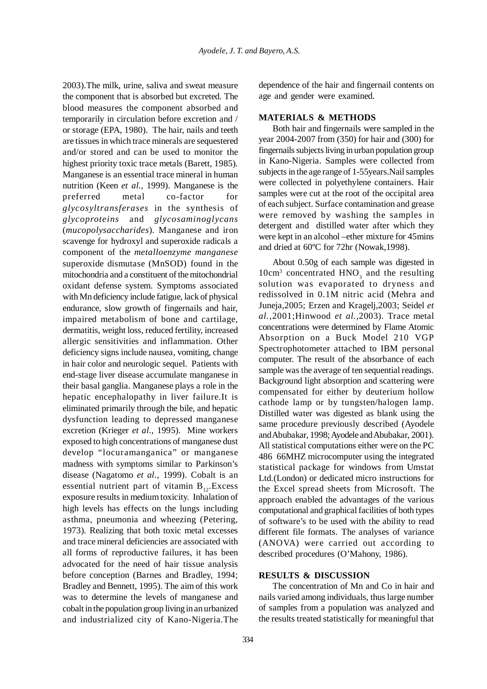2003).The milk, urine, saliva and sweat measure the component that is absorbed but excreted. The blood measures the component absorbed and temporarily in circulation before excretion and / or storage (EPA, 1980). The hair, nails and teeth are tissues in which trace minerals are sequestered and/or stored and can be used to monitor the highest priority toxic trace metals (Barett, 1985). Manganese is an essential trace mineral in human nutrition (Keen *et al.,* 1999). Manganese is the preferred metal co-factor for *glycosyltransferases* in the synthesis of *glycoproteins* and *glycosaminoglycans* (*mucopolysaccharides*). Manganese and iron scavenge for hydroxyl and superoxide radicals a component of the *metalloenzyme manganese* superoxide dismutase (MnSOD) found in the mitochondria and a constituent of the mitochondrial oxidant defense system. Symptoms associated with Mn deficiency include fatigue, lack of physical endurance, slow growth of fingernails and hair, impaired metabolism of bone and cartilage, dermatitis, weight loss, reduced fertility, increased allergic sensitivities and inflammation. Other deficiency signs include nausea, vomiting, change in hair color and neurologic sequel. Patients with end-stage liver disease accumulate manganese in their basal ganglia. Manganese plays a role in the hepatic encephalopathy in liver failure.It is eliminated primarily through the bile, and hepatic dysfunction leading to depressed manganese excretion (Krieger *et al.,* 1995). Mine workers exposed to high concentrations of manganese dust develop "locuramanganica" or manganese madness with symptoms similar to Parkinson's disease (Nagatomo *et al.,* 1999). Cobalt is an essential nutrient part of vitamin  $B_{12}$ . Excess exposure results in medium toxicity. Inhalation of high levels has effects on the lungs including asthma, pneumonia and wheezing (Petering, 1973). Realizing that both toxic metal excesses and trace mineral deficiencies are associated with all forms of reproductive failures, it has been advocated for the need of hair tissue analysis before conception (Barnes and Bradley, 1994; Bradley and Bennett, 1995). The aim of this work was to determine the levels of manganese and cobalt in the population group living in an urbanized and industrialized city of Kano-Nigeria.The

dependence of the hair and fingernail contents on age and gender were examined.

# **MATERIALS & METHODS**

Both hair and fingernails were sampled in the year 2004-2007 from (350) for hair and (300) for fingernails subjects living in urban population group in Kano-Nigeria. Samples were collected from subjects in the age range of 1-55years.Nail samples were collected in polyethylene containers. Hair samples were cut at the root of the occipital area of each subject. Surface contamination and grease were removed by washing the samples in detergent and distilled water after which they were kept in an alcohol –ether mixture for 45mins and dried at 60ºC for 72hr (Nowak,1998).

About 0.50g of each sample was digested in  $10 \text{cm}^3$  concentrated  $HNO<sub>3</sub>$  and the resulting solution was evaporated to dryness and redissolved in 0.1M nitric acid (Mehra and Juneja,2005; Erzen and Kragelj,2003; Seidel *et al.,*2001;Hinwood *et al.,*2003). Trace metal concentrations were determined by Flame Atomic Absorption on a Buck Model 210 VGP Spectrophotometer attached to IBM personal computer. The result of the absorbance of each sample was the average of ten sequential readings. Background light absorption and scattering were compensated for either by deuterium hollow cathode lamp or by tungsten/halogen lamp. Distilled water was digested as blank using the same procedure previously described (Ayodele and Abubakar, 1998; Ayodele and Abubakar, 2001). All statistical computations either were on the PC 486 66MHZ microcomputer using the integrated statistical package for windows from Umstat Ltd.(London) or dedicated micro instructions for the Excel spread sheets from Microsoft. The approach enabled the advantages of the various computational and graphical facilities of both types of software's to be used with the ability to read different file formats. The analyses of variance (ANOVA) were carried out according to described procedures (O'Mahony, 1986).

#### **RESULTS & DISCUSSION**

The concentration of Mn and Co in hair and nails varied among individuals, thus large number of samples from a population was analyzed and the results treated statistically for meaningful that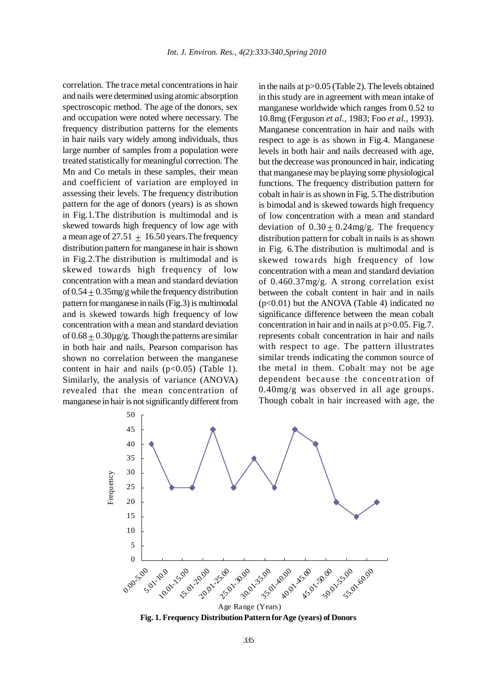correlation. The trace metal concentrations in hair and nails were determined using atomic absorption spectroscopic method. The age of the donors, sex and occupation were noted where necessary. The frequency distribution patterns for the elements in hair nails vary widely among individuals, thus large number of samples from a population were treated statistically for meaningful correction. The Mn and Co metals in these samples, their mean and coefficient of variation are employed in assessing their levels. The frequency distribution pattern for the age of donors (years) is as shown in Fig.1.The distribution is multimodal and is skewed towards high frequency of low age with a mean age of 27.51  $\pm$  16.50 years. The frequency distribution pattern for manganese in hair is shown in Fig.2.The distribution is multimodal and is skewed towards high frequency of low concentration with a mean and standard deviation of  $0.54 + 0.35$  mg/g while the frequency distribution pattern for manganese in nails (Fig.3) is multimodal and is skewed towards high frequency of low concentration with a mean and standard deviation of  $0.68 + 0.30\mu$ g/g. Though the patterns are similar in both hair and nails, Pearson comparison has shown no correlation between the manganese content in hair and nails  $(p<0.05)$  (Table 1). Similarly, the analysis of variance (ANOVA) revealed that the mean concentration of manganese in hair is not significantly different from in the nails at p>0.05 (Table 2). The levels obtained in this study are in agreement with mean intake of manganese worldwide which ranges from 0.52 to 10.8mg (Ferguson *et al.,* 1983; Foo *et al.,* 1993). Manganese concentration in hair and nails with respect to age is as shown in Fig.4. Manganese levels in both hair and nails decreased with age, but the decrease was pronounced in hair, indicating that manganese may be playing some physiological functions. The frequency distribution pattern for cobalt in hair is as shown in Fig. 5.The distribution is bimodal and is skewed towards high frequency of low concentration with a mean and standard deviation of  $0.30 \pm 0.24$  mg/g. The frequency distribution pattern for cobalt in nails is as shown in Fig. 6.The distribution is multimodal and is skewed towards high frequency of low concentration with a mean and standard deviation of 0.460.37mg/g. A strong correlation exist between the cobalt content in hair and in nails (p<0.01) but the ANOVA (Table 4) indicated no significance difference between the mean cobalt concentration in hair and in nails at p>0.05. Fig.7. represents cobalt concentration in hair and nails with respect to age. The pattern illustrates similar trends indicating the common source of the metal in them. Cobalt may not be age dependent because the concentration of 0.40mg/g was observed in all age groups. Though cobalt in hair increased with age, the



**Fig. 1. Frequency Distribution Pattern for Age (years) of Donors**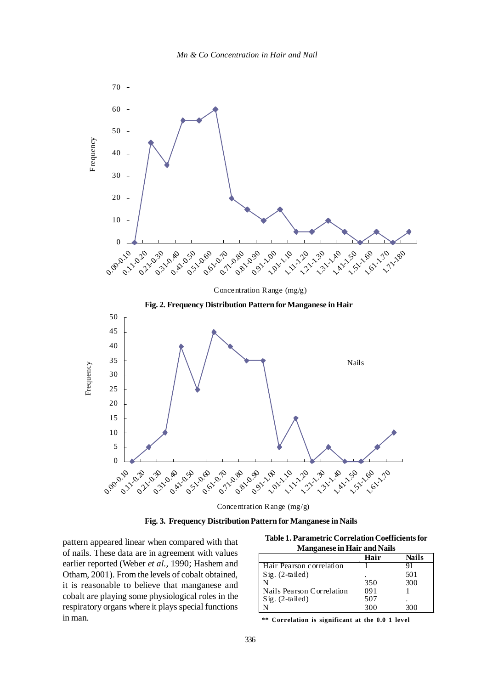

Concentration Range (mg/g)

 **Fig. 3. Frequency Distribution Pattern for Manganese in Nails**

pattern appeared linear when compared with that of nails. These data are in agreement with values earlier reported (Weber *et al.,* 1990; Hashem and Otham, 2001). From the levels of cobalt obtained, it is reasonable to believe that manganese and cobalt are playing some physiological roles in the respiratory organs where it plays special functions in man.

**Table 1. Parametric Correlation Coefficients for Manganese in Hair and Nails**

|                           | Hair | Nails |
|---------------------------|------|-------|
| Hair Pearson correlation  |      | 91    |
| $Sig. (2-tailed)$         |      | 501   |
|                           | 350  | 300   |
| Nails Pearson Correlation | 091  |       |
| $Sig. (2-tailed)$         | 507  |       |
|                           | 300  | 300   |

**\*\* Correlation is significant at the 0.0 1 level**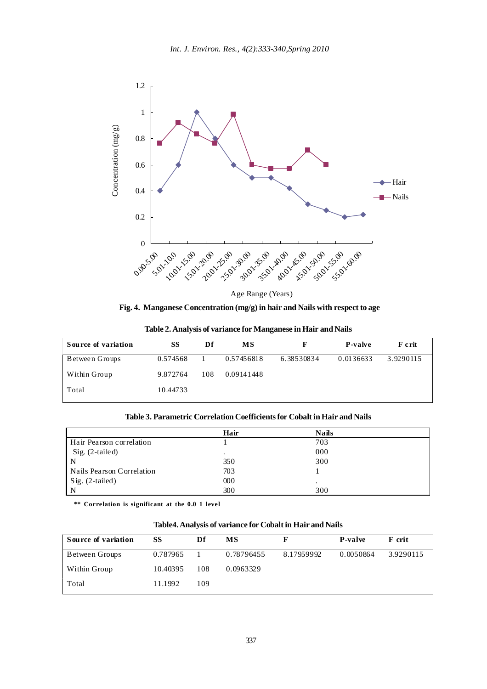

**Fig. 4. Manganese Concentration (mg/g) in hair and Nails with respect to age**

| Table 2. Analysis of variance for Manganese in Hair and Nails |  |  |
|---------------------------------------------------------------|--|--|
|                                                               |  |  |

| Source of variation | SS       | Df  | МS         |            | <b>P-valve</b> | F crit    |
|---------------------|----------|-----|------------|------------|----------------|-----------|
| Between Groups      | 0.574568 |     | 0.57456818 | 6.38530834 | 0.0136633      | 3.9290115 |
| Within Group        | 9.872764 | 108 | 0.09141448 |            |                |           |
| Total               | 10.44733 |     |            |            |                |           |

| Table 3. Parametric Correlation Coefficients for Cobalt in Hair and Nails |  |  |  |
|---------------------------------------------------------------------------|--|--|--|
|---------------------------------------------------------------------------|--|--|--|

|                           | Hair    | <b>Nails</b> |  |
|---------------------------|---------|--------------|--|
| Hair Pearson correlation  |         | 703          |  |
| Sig. (2-tailed)           | $\cdot$ | 000          |  |
|                           | 350     | 300          |  |
| Nails Pearson Correlation | 703     |              |  |
| Sig. (2-tailed)           | 000     |              |  |
|                           | 300     | 300          |  |

 **\*\* Correlation is significant at the 0.0 1 level**

**Table4. Analysis of variance for Cobalt in Hair and Nails**

| Source of variation | SS       | Df  | MS         |            | <b>P-valve</b> | F crit    |
|---------------------|----------|-----|------------|------------|----------------|-----------|
| Between Groups      | 0.787965 |     | 0.78796455 | 8.17959992 | 0.0050864      | 3.9290115 |
| Within Group        | 10.40395 | 108 | 0.0963329  |            |                |           |
| Total               | 11.1992  | 109 |            |            |                |           |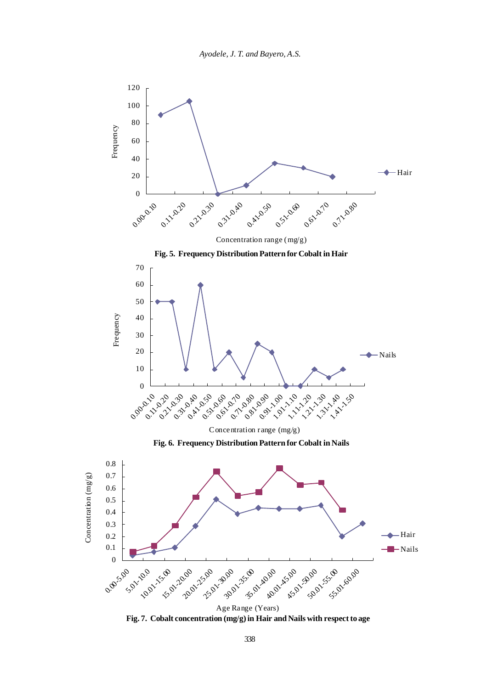

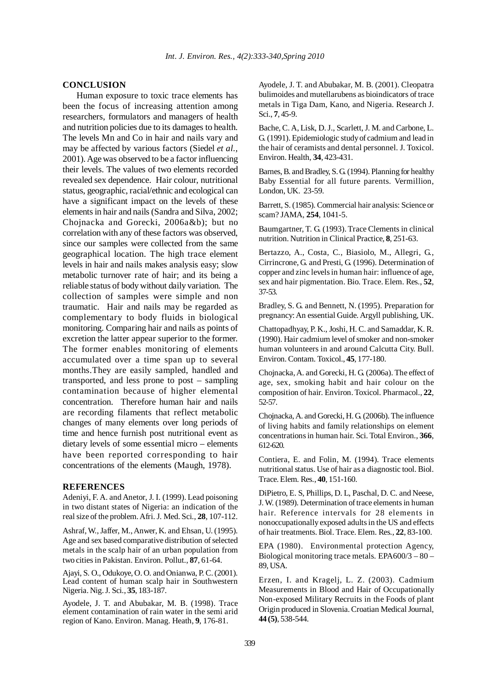## **CONCLUSION**

Human exposure to toxic trace elements has been the focus of increasing attention among researchers, formulators and managers of health and nutrition policies due to its damages to health. The levels Mn and Co in hair and nails vary and may be affected by various factors (Siedel *et al.,* 2001). Age was observed to be a factor influencing their levels. The values of two elements recorded revealed sex dependence. Hair colour, nutritional status, geographic, racial/ethnic and ecological can have a significant impact on the levels of these elements in hair and nails (Sandra and Silva, 2002; Chojnacka and Gorecki, 2006a&b); but no correlation with any of these factors was observed, since our samples were collected from the same geographical location. The high trace element levels in hair and nails makes analysis easy; slow metabolic turnover rate of hair; and its being a reliable status of body without daily variation. The collection of samples were simple and non traumatic. Hair and nails may be regarded as complementary to body fluids in biological monitoring. Comparing hair and nails as points of excretion the latter appear superior to the former. The former enables monitoring of elements accumulated over a time span up to several months.They are easily sampled, handled and transported, and less prone to post – sampling contamination because of higher elemental concentration. Therefore human hair and nails are recording filaments that reflect metabolic changes of many elements over long periods of time and hence furnish post nutritional event as dietary levels of some essential micro – elements have been reported corresponding to hair concentrations of the elements (Maugh, 1978).

#### **REFERENCES**

Adeniyi, F. A. and Anetor, J. I. (1999). Lead poisoning in two distant states of Nigeria: an indication of the real size of the problem. Afri. J. Med. Sci., **28**, 107-112.

Ashraf, W., Jaffer, M., Anwer, K. and Ehsan, U. (1995). Age and sex based comparative distribution of selected metals in the scalp hair of an urban population from two cities in Pakistan. Environ. Pollut., **87**, 61-64.

Ajayi, S. O., Odukoye, O. O. and Onianwa, P. C. (2001). Lead content of human scalp hair in Southwestern Nigeria. Nig. J. Sci., **35**, 183-187.

Ayodele, J. T. and Abubakar, M. B. (1998). Trace element contamination of rain water in the semi arid region of Kano. Environ. Manag. Heath, **9**, 176-81.

Ayodele, J. T. and Abubakar, M. B. (2001). Cleopatra bulimoides and mutellarubens as bioindicators of trace metals in Tiga Dam, Kano, and Nigeria. Research J. Sci., **7**, 45-9.

Bache, C. A, Lisk, D. J., Scarlett, J. M. and Carbone, L. G. (1991). Epidemiologic study of cadmium and lead in the hair of ceramists and dental personnel. J. Toxicol. Environ. Health, **34**, 423-431.

Barnes, B. and Bradley, S. G. (1994). Planning for healthy Baby Essential for all future parents. Vermillion, London, UK. 23-59.

Barrett, S. (1985). Commercial hair analysis: Science or scam? JAMA, **254**, 1041-5.

Baumgartner, T. G. (1993). Trace Clements in clinical nutrition. Nutrition in Clinical Practice, **8**, 251-63.

Bertazzo, A., Costa, C., Biasiolo, M., Allegri, G., Cirrincrone, G. and Presti, G. (1996). Determination of copper and zinc levels in human hair: influence of age, sex and hair pigmentation. Bio. Trace. Elem. Res., **52**, 37-53*.*

Bradley, S. G. and Bennett, N. (1995). Preparation for pregnancy: An essential Guide. Argyll publishing, UK.

Chattopadhyay, P. K., Joshi, H. C. and Samaddar, K. R. (1990). Hair cadmium level of smoker and non-smoker human volunteers in and around Calcutta City. Bull. Environ. Contam. Toxicol., **45**, 177-180.

Chojnacka, A. and Gorecki, H. G. (2006a). The effect of age, sex, smoking habit and hair colour on the composition of hair. Environ. Toxicol. Pharmacol., **22**, 52-57.

Chojnacka, A. and Gorecki, H. G. (2006b). The influence of living habits and family relationships on element concentrations in human hair. Sci. Total Environ., **366**, 612-620*.*

Contiera, E. and Folin, M. (1994). Trace elements nutritional status. Use of hair as a diagnostic tool. Biol. Trace. Elem. Res., **40**, 151-160.

DiPietro, E. S, Phillips, D. L, Paschal, D. C. and Neese, J. W. (1989). Determination of trace elements in human hair. Reference intervals for 28 elements in nonoccupationally exposed adults in the US and effects of hair treatments. Biol. Trace. Elem. Res., **22**, 83-100.

EPA (1980). Environmental protection Agency, Biological monitoring trace metals. EPA600/3 – 80 – 89, USA.

Erzen, I. and Kragelj, L. Z. (2003). Cadmium Measurements in Blood and Hair of Occupationally Non-exposed Military Recruits in the Foods of plant Origin produced in Slovenia. Croatian Medical Journal, **44 (5)**, 538-544.